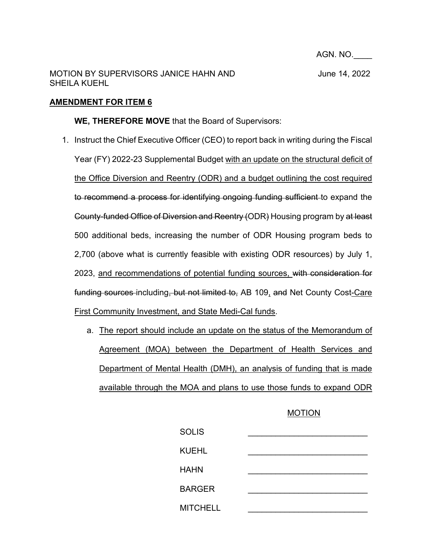AGN. NO.\_\_\_\_

## **AMENDMENT FOR ITEM 6**

## **WE, THEREFORE MOVE** that the Board of Supervisors:

- 1. Instruct the Chief Executive Officer (CEO) to report back in writing during the Fiscal Year (FY) 2022-23 Supplemental Budget with an update on the structural deficit of the Office Diversion and Reentry (ODR) and a budget outlining the cost required to recommend a process for identifying ongoing funding sufficient to expand the County-funded Office of Diversion and Reentry (ODR) Housing program by at least 500 additional beds, increasing the number of ODR Housing program beds to 2,700 (above what is currently feasible with existing ODR resources) by July 1, 2023, and recommendations of potential funding sources, with consideration for funding sources including, but not limited to, AB 109, and Net County Cost-Care First Community Investment, and State Medi-Cal funds.
	- a. The report should include an update on the status of the Memorandum of Agreement (MOA) between the Department of Health Services and Department of Mental Health (DMH), an analysis of funding that is made available through the MOA and plans to use those funds to expand ODR

## MOTION

| <b>SOLIS</b>    |  |
|-----------------|--|
| <b>KUEHL</b>    |  |
| <b>HAHN</b>     |  |
| <b>BARGER</b>   |  |
| <b>MITCHELL</b> |  |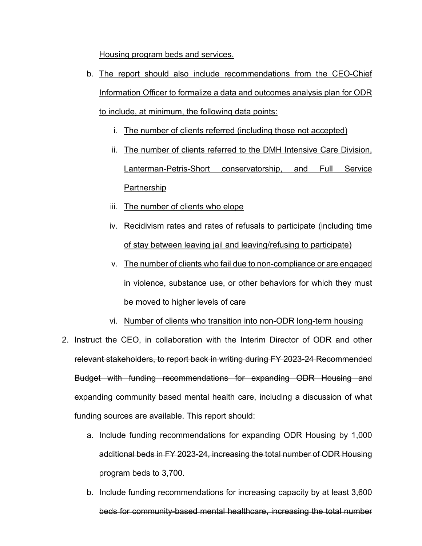Housing program beds and services.

- b. The report should also include recommendations from the CEO-Chief Information Officer to formalize a data and outcomes analysis plan for ODR to include, at minimum, the following data points:
	- i. The number of clients referred (including those not accepted)
	- ii. The number of clients referred to the DMH Intensive Care Division, Lanterman-Petris-Short conservatorship, and Full Service Partnership
	- iii. The number of clients who elope
	- iv. Recidivism rates and rates of refusals to participate (including time of stay between leaving jail and leaving/refusing to participate)
	- v. The number of clients who fail due to non-compliance or are engaged in violence, substance use, or other behaviors for which they must be moved to higher levels of care
	- vi. Number of clients who transition into non-ODR long-term housing
- 2. Instruct the CEO, in collaboration with the Interim Director of ODR and other relevant stakeholders, to report back in writing during FY 2023-24 Recommended Budget with funding recommendations for expanding ODR Housing and expanding community based mental health care, including a discussion of what funding sources are available. This report should:
	- a. Include funding recommendations for expanding ODR Housing by 1,000 additional beds in FY 2023-24, increasing the total number of ODR Housing program beds to 3,700.
	- b. Include funding recommendations for increasing capacity by at least 3,600 beds for community-based mental healthcare, increasing the total number